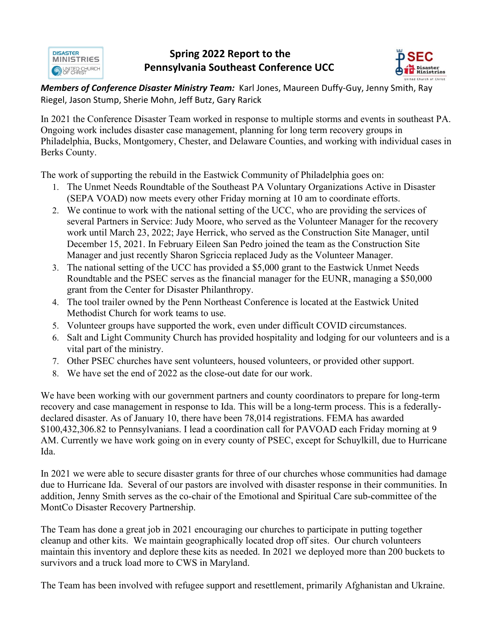**DISASTER MINISTRIES O VAITED CHURCH** 

## **Spring 2022 Report to the Pennsylvania Southeast Conference UCC**



*Members of Conference Disaster Ministry Team:* Karl Jones, Maureen Duffy-Guy, Jenny Smith, Ray Riegel, Jason Stump, Sherie Mohn, Jeff Butz, Gary Rarick

In 2021 the Conference Disaster Team worked in response to multiple storms and events in southeast PA. Ongoing work includes disaster case management, planning for long term recovery groups in Philadelphia, Bucks, Montgomery, Chester, and Delaware Counties, and working with individual cases in Berks County.

The work of supporting the rebuild in the Eastwick Community of Philadelphia goes on:

- 1. The Unmet Needs Roundtable of the Southeast PA Voluntary Organizations Active in Disaster (SEPA VOAD) now meets every other Friday morning at 10 am to coordinate efforts.
- 2. We continue to work with the national setting of the UCC, who are providing the services of several Partners in Service: Judy Moore, who served as the Volunteer Manager for the recovery work until March 23, 2022; Jaye Herrick, who served as the Construction Site Manager, until December 15, 2021. In February Eileen San Pedro joined the team as the Construction Site Manager and just recently Sharon Sgriccia replaced Judy as the Volunteer Manager.
- 3. The national setting of the UCC has provided a \$5,000 grant to the Eastwick Unmet Needs Roundtable and the PSEC serves as the financial manager for the EUNR, managing a \$50,000 grant from the Center for Disaster Philanthropy.
- 4. The tool trailer owned by the Penn Northeast Conference is located at the Eastwick United Methodist Church for work teams to use.
- 5. Volunteer groups have supported the work, even under difficult COVID circumstances.
- 6. Salt and Light Community Church has provided hospitality and lodging for our volunteers and is a vital part of the ministry.
- 7. Other PSEC churches have sent volunteers, housed volunteers, or provided other support.
- 8. We have set the end of 2022 as the close-out date for our work.

We have been working with our government partners and county coordinators to prepare for long-term recovery and case management in response to Ida. This will be a long-term process. This is a federallydeclared disaster. As of January 10, there have been 78,014 registrations. FEMA has awarded \$100,432,306.82 to Pennsylvanians. I lead a coordination call for PAVOAD each Friday morning at 9 AM. Currently we have work going on in every county of PSEC, except for Schuylkill, due to Hurricane Ida.

In 2021 we were able to secure disaster grants for three of our churches whose communities had damage due to Hurricane Ida. Several of our pastors are involved with disaster response in their communities. In addition, Jenny Smith serves as the co-chair of the Emotional and Spiritual Care sub-committee of the MontCo Disaster Recovery Partnership.

The Team has done a great job in 2021 encouraging our churches to participate in putting together cleanup and other kits. We maintain geographically located drop off sites. Our church volunteers maintain this inventory and deplore these kits as needed. In 2021 we deployed more than 200 buckets to survivors and a truck load more to CWS in Maryland.

The Team has been involved with refugee support and resettlement, primarily Afghanistan and Ukraine.